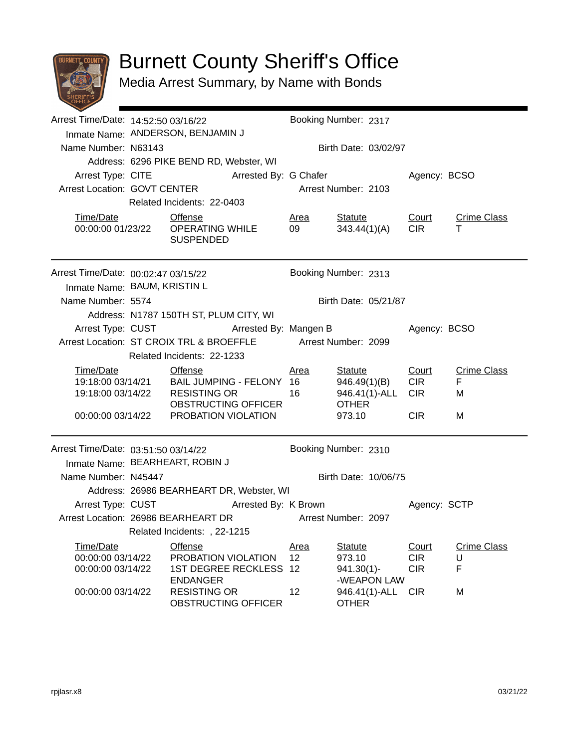

## Burnett County Sheriff's Office

Media Arrest Summary, by Name with Bonds

|                                        | Arrest Time/Date: 14:52:50 03/16/22 |                                                   |                      | Booking Number: 2317                    |                               |                          |                    |  |
|----------------------------------------|-------------------------------------|---------------------------------------------------|----------------------|-----------------------------------------|-------------------------------|--------------------------|--------------------|--|
|                                        |                                     | Inmate Name: ANDERSON, BENJAMIN J                 |                      |                                         |                               |                          |                    |  |
| Name Number: N63143                    |                                     |                                                   |                      | Birth Date: 03/02/97                    |                               |                          |                    |  |
|                                        |                                     | Address: 6296 PIKE BEND RD, Webster, WI           |                      |                                         |                               |                          |                    |  |
|                                        |                                     |                                                   |                      | Arrest Type: CITE Arrested By: G Chafer |                               | Agency: BCSO             |                    |  |
| Arrest Location: GOVT CENTER           |                                     |                                                   |                      |                                         | Arrest Number: 2103           |                          |                    |  |
|                                        |                                     | Related Incidents: 22-0403                        |                      |                                         |                               |                          |                    |  |
| Time/Date                              |                                     | <b>Offense</b>                                    |                      | <u>Area</u>                             | Statute                       | Court                    | <b>Crime Class</b> |  |
|                                        |                                     | <b>SUSPENDED</b>                                  |                      | 09                                      | 343.44(1)(A)                  | <b>CIR</b>               | т                  |  |
| Arrest Time/Date: 00:02:47 03/15/22    |                                     |                                                   |                      |                                         | Booking Number: 2313          |                          |                    |  |
| Inmate Name: BAUM, KRISTIN L           |                                     |                                                   |                      |                                         |                               |                          |                    |  |
| Name Number: 5574                      |                                     |                                                   |                      |                                         | Birth Date: 05/21/87          |                          |                    |  |
|                                        |                                     | Address: N1787 150TH ST, PLUM CITY, WI            |                      |                                         |                               |                          |                    |  |
| Arrest Type: CUST                      |                                     | Arrested By: Mangen B                             |                      |                                         |                               | Agency: BCSO             |                    |  |
|                                        |                                     | Arrest Location: ST CROIX TRL & BROEFFLE          |                      |                                         | Arrest Number: 2099           |                          |                    |  |
|                                        |                                     | Related Incidents: 22-1233                        |                      |                                         |                               |                          |                    |  |
| Time/Date                              | <b>Offense</b>                      |                                                   |                      | <u>Area</u>                             | <b>Statute</b>                | Court                    | <b>Crime Class</b> |  |
|                                        |                                     | 19:18:00 03/14/21  BAIL JUMPING - FELONY 16       |                      |                                         | 946.49(1)(B)                  | <b>CIR</b>               | F                  |  |
| 19:18:00 03/14/22                      |                                     | RESISTING OR<br>OBSTRUCTING OFFICER               |                      | 16                                      | 946.41(1)-ALL<br><b>OTHER</b> | <b>CIR</b>               | M                  |  |
|                                        |                                     | 00:00:00 03/14/22 PROBATION VIOLATION             |                      |                                         | 973.10                        | <b>CIR</b>               | М                  |  |
|                                        |                                     |                                                   |                      |                                         |                               |                          |                    |  |
| Arrest Time/Date: 03:51:50 03/14/22    |                                     |                                                   |                      |                                         | Booking Number: 2310          |                          |                    |  |
|                                        |                                     | Inmate Name: BEARHEART, ROBIN J                   |                      |                                         |                               |                          |                    |  |
|                                        | Name Number: N45447                 |                                                   | Birth Date: 10/06/75 |                                         |                               |                          |                    |  |
|                                        |                                     | Address: 26986 BEARHEART DR, Webster, WI          |                      |                                         |                               |                          |                    |  |
|                                        |                                     | Arrest Type: CUST Arrested By: K Brown            |                      |                                         |                               | Agency: SCTP             |                    |  |
|                                        |                                     | Arrest Location: 26986 BEARHEART DR               |                      | Arrest Number: 2097                     |                               |                          |                    |  |
|                                        |                                     | Related Incidents:, 22-1215                       |                      |                                         |                               |                          |                    |  |
| Time/Date                              |                                     | Offense                                           |                      | <u>Area</u>                             | <b>Statute</b>                | <b>Court</b>             | <b>Crime Class</b> |  |
| 00:00:00 03/14/22<br>00:00:00 03/14/22 |                                     | PROBATION VIOLATION<br><b>1ST DEGREE RECKLESS</b> |                      | 12<br>12                                | 973.10<br>$941.30(1)$ -       | <b>CIR</b><br><b>CIR</b> | U<br>F             |  |
|                                        |                                     | <b>ENDANGER</b>                                   |                      |                                         | -WEAPON LAW                   |                          |                    |  |
| 00:00:00 03/14/22                      |                                     | <b>RESISTING OR</b><br>OBSTRUCTING OFFICER        |                      | 12                                      | 946.41(1)-ALL<br><b>OTHER</b> | <b>CIR</b>               | M                  |  |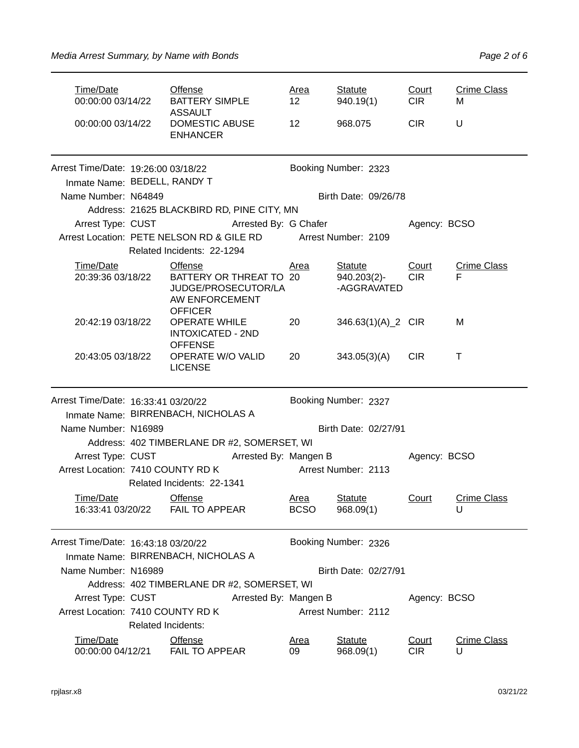| Time/Date<br>00:00:00 03/14/22        |                           | <b>Offense</b><br><b>BATTERY SIMPLE</b><br><b>ASSAULT</b>                                   | <u>Area</u><br>12 <sup>2</sup> | <b>Statute</b><br>940.19(1)   | Court<br><b>CIR</b> | <b>Crime Class</b><br>м |  |
|---------------------------------------|---------------------------|---------------------------------------------------------------------------------------------|--------------------------------|-------------------------------|---------------------|-------------------------|--|
| 00:00:00 03/14/22                     |                           | <b>DOMESTIC ABUSE</b><br><b>ENHANCER</b>                                                    | 12                             | 968.075                       | <b>CIR</b>          | U                       |  |
| Arrest Time/Date: 19:26:00 03/18/22   |                           |                                                                                             |                                | Booking Number: 2323          |                     |                         |  |
| Inmate Name: BEDELL, RANDY T          |                           |                                                                                             |                                |                               |                     |                         |  |
| Name Number: N64849                   |                           |                                                                                             |                                | Birth Date: 09/26/78          |                     |                         |  |
|                                       |                           | Address: 21625 BLACKBIRD RD, PINE CITY, MN                                                  |                                |                               |                     |                         |  |
|                                       |                           | Arrest Type: CUST Arrested By: G Chafer                                                     |                                |                               | Agency: BCSO        |                         |  |
|                                       |                           | Arrest Location: PETE NELSON RD & GILE RD Arrest Number: 2109<br>Related Incidents: 22-1294 |                                |                               |                     |                         |  |
| Time/Date                             |                           | <b>Offense</b>                                                                              | <u>Area</u>                    | <b>Statute</b>                | Court               | <b>Crime Class</b>      |  |
| 20:39:36 03/18/22                     |                           | BATTERY OR THREAT TO 20<br>JUDGE/PROSECUTOR/LA<br>AW ENFORCEMENT<br><b>OFFICER</b>          |                                | $940.203(2)$ -<br>-AGGRAVATED | <b>CIR</b>          | F                       |  |
| 20:42:19 03/18/22                     |                           | <b>OPERATE WHILE</b><br><b>INTOXICATED - 2ND</b><br><b>OFFENSE</b>                          | 20                             | 346.63(1)(A)_2 CIR            |                     | М                       |  |
| 20:43:05 03/18/22                     |                           | OPERATE W/O VALID<br><b>LICENSE</b>                                                         | 20                             | 343.05(3)(A)                  | <b>CIR</b>          | т                       |  |
| Arrest Time/Date: 16:33:41 03/20/22   |                           |                                                                                             |                                | Booking Number: 2327          |                     |                         |  |
|                                       |                           | Inmate Name: BIRRENBACH, NICHOLAS A                                                         |                                |                               |                     |                         |  |
| Name Number: N16989                   |                           |                                                                                             |                                | Birth Date: 02/27/91          |                     |                         |  |
| Arrest Type: CUST                     |                           | Address: 402 TIMBERLANE DR #2, SOMERSET, WI                                                 |                                |                               |                     |                         |  |
| Arrest Location: 7410 COUNTY RD K     |                           | Arrested By: Mangen B                                                                       |                                | Arrest Number: 2113           | Agency: BCSO        |                         |  |
|                                       |                           | Related Incidents: 22-1341                                                                  |                                |                               |                     |                         |  |
| <b>Time/Date</b><br>16:33:41 03/20/22 |                           | Offense<br><b>FAIL TO APPEAR</b>                                                            | Area<br><b>BCSO</b>            | <b>Statute</b><br>968.09(1)   | Court               | <b>Crime Class</b><br>U |  |
| Arrest Time/Date: 16:43:18 03/20/22   |                           |                                                                                             |                                | Booking Number: 2326          |                     |                         |  |
|                                       |                           | Inmate Name: BIRRENBACH, NICHOLAS A                                                         |                                |                               |                     |                         |  |
| Name Number: N16989                   |                           |                                                                                             |                                | Birth Date: 02/27/91          |                     |                         |  |
|                                       |                           | Address: 402 TIMBERLANE DR #2, SOMERSET, WI                                                 |                                |                               |                     |                         |  |
| Arrest Type: CUST                     |                           | Arrested By: Mangen B                                                                       | Agency: BCSO                   |                               |                     |                         |  |
| Arrest Location: 7410 COUNTY RD K     | <b>Related Incidents:</b> |                                                                                             |                                | Arrest Number: 2112           |                     |                         |  |
| Time/Date<br>00:00:00 04/12/21        |                           | <b>Offense</b><br>FAIL TO APPEAR                                                            | <u>Area</u><br>09              | <b>Statute</b><br>968.09(1)   | Court<br><b>CIR</b> | <b>Crime Class</b><br>U |  |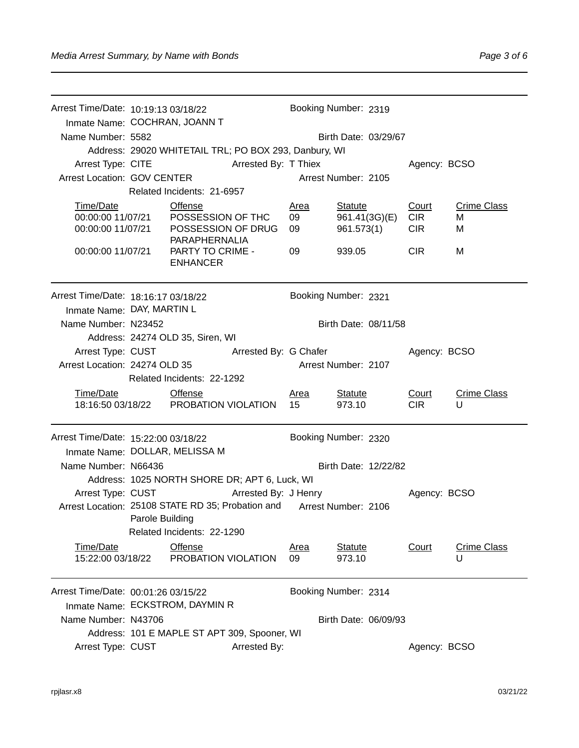| Arrest Time/Date: 10:19:13 03/18/22<br>Inmate Name: COCHRAN, JOANN T<br>Name Number: 5582 |                        |                                                                                                                                                                              |                         | Booking Number: 2319<br>Birth Date: 03/29/67  |                                   |                              |
|-------------------------------------------------------------------------------------------|------------------------|------------------------------------------------------------------------------------------------------------------------------------------------------------------------------|-------------------------|-----------------------------------------------|-----------------------------------|------------------------------|
| Arrest Type: CITE<br>Arrest Location: GOV CENTER                                          |                        | Address: 29020 WHITETAIL TRL; PO BOX 293, Danbury, WI<br><b>Arrested By: T Thiex</b><br>Related Incidents: 21-6957                                                           |                         | Arrest Number: 2105                           | Agency: BCSO                      |                              |
| Time/Date<br>00:00:00 11/07/21                                                            |                        | Offense<br>00:00:00 11/07/21  POSSESSION OF THC<br>POSSESSION OF DRUG<br>PARAPHERNALIA                                                                                       | <u>Area</u><br>09<br>09 | <b>Statute</b><br>961.41(3G)(E)<br>961.573(1) | Court<br><b>CIR</b><br><b>CIR</b> | <b>Crime Class</b><br>м<br>M |
| 00:00:00 11/07/21                                                                         |                        | PARTY TO CRIME -<br><b>ENHANCER</b>                                                                                                                                          | 09                      | 939.05                                        | <b>CIR</b>                        | м                            |
| Arrest Time/Date: 18:16:17 03/18/22<br>Inmate Name: DAY, MARTIN L                         |                        |                                                                                                                                                                              |                         | Booking Number: 2321                          |                                   |                              |
| Name Number: N23452                                                                       |                        | Address: 24274 OLD 35, Siren, WI                                                                                                                                             |                         | Birth Date: 08/11/58                          |                                   |                              |
| Arrest Type: CUST<br>Arrest Location: 24274 OLD 35                                        |                        | Arrested By: G Chafer                                                                                                                                                        |                         | Arrest Number: 2107                           | Agency: BCSO                      |                              |
| Time/Date                                                                                 |                        | Related Incidents: 22-1292<br><b>Offense</b><br>18:16:50 03/18/22  PROBATION VIOLATION                                                                                       | <u>Area</u><br>15       | <b>Statute</b><br>973.10                      | Court<br><b>CIR</b>               | <b>Crime Class</b><br>U      |
| Arrest Time/Date: 15:22:00 03/18/22<br>Inmate Name: DOLLAR, MELISSA M                     |                        |                                                                                                                                                                              |                         | Booking Number: 2320                          |                                   |                              |
| Name Number: N66436                                                                       |                        |                                                                                                                                                                              |                         | Birth Date: 12/22/82                          |                                   |                              |
| Arrest Type: CUST                                                                         | <b>Parole Building</b> | Address: 1025 NORTH SHORE DR; APT 6, Luck, WI<br>Arrested By: J Henry<br>Arrest Location: 25108 STATE RD 35; Probation and Arrest Number: 2106<br>Related Incidents: 22-1290 |                         |                                               | Agency: BCSO                      |                              |
| Time/Date<br>15:22:00 03/18/22                                                            |                        | Offense<br>PROBATION VIOLATION                                                                                                                                               | <u>Area</u><br>09       | <b>Statute</b><br>973.10                      | Court                             | <b>Crime Class</b><br>U      |
| Arrest Time/Date: 00:01:26 03/15/22                                                       |                        | Inmate Name: ECKSTROM, DAYMIN R                                                                                                                                              |                         | Booking Number: 2314                          |                                   |                              |
| Name Number: N43706                                                                       |                        |                                                                                                                                                                              |                         | Birth Date: 06/09/93                          |                                   |                              |
| Arrest Type: CUST                                                                         |                        | Address: 101 E MAPLE ST APT 309, Spooner, WI<br>Arrested By:                                                                                                                 |                         |                                               | Agency: BCSO                      |                              |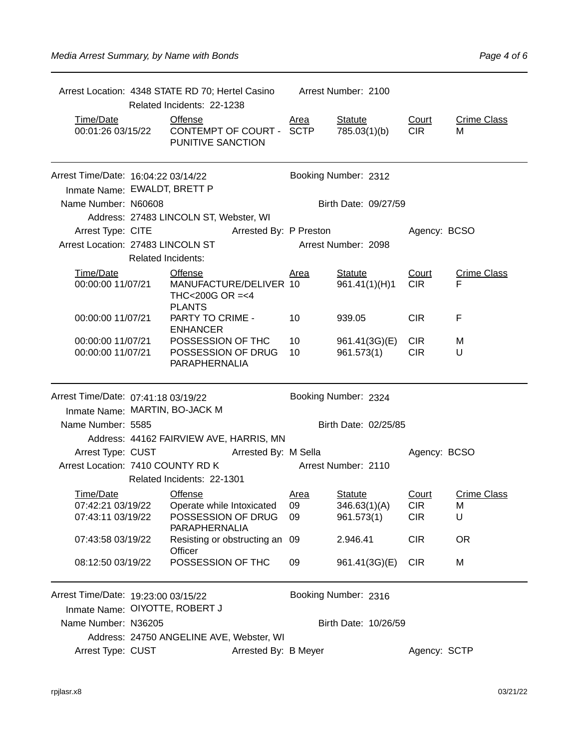|                                        | Related Incidents: 22-1238                                            |                      | Arrest Location: 4348 STATE RD 70; Hertel Casino Arrest Number: 2100 |                                 |                          |                         |  |
|----------------------------------------|-----------------------------------------------------------------------|----------------------|----------------------------------------------------------------------|---------------------------------|--------------------------|-------------------------|--|
| Time/Date<br>00:01:26 03/15/22         | <b>Offense</b><br>CONTEMPT OF COURT -<br>PUNITIVE SANCTION            |                      | <u>Area</u><br><b>SCTP</b>                                           | <b>Statute</b><br>785.03(1)(b)  | Court<br><b>CIR</b>      | <b>Crime Class</b><br>М |  |
| Arrest Time/Date: 16:04:22 03/14/22    |                                                                       |                      |                                                                      | Booking Number: 2312            |                          |                         |  |
| Inmate Name: EWALDT, BRETT P           |                                                                       |                      |                                                                      |                                 |                          |                         |  |
| Name Number: N60608                    |                                                                       |                      |                                                                      | Birth Date: 09/27/59            |                          |                         |  |
|                                        | Address: 27483 LINCOLN ST, Webster, WI                                |                      |                                                                      |                                 |                          |                         |  |
|                                        | Arrest Type: CITE Arrested By: P Preston                              |                      |                                                                      |                                 | Agency: BCSO             |                         |  |
| Arrest Location: 27483 LINCOLN ST      | <b>Related Incidents:</b>                                             |                      |                                                                      | Arrest Number: 2098             |                          |                         |  |
| Time/Date<br>00:00:00 11/07/21         | Offense<br>MANUFACTURE/DELIVER 10<br>THC<200G OR =<4<br><b>PLANTS</b> |                      | <u>Area</u>                                                          | <b>Statute</b><br>961.41(1)(H)1 | Court<br><b>CIR</b>      | <b>Crime Class</b><br>F |  |
| 00:00:00 11/07/21                      | PARTY TO CRIME -<br><b>ENHANCER</b>                                   |                      | 10                                                                   | 939.05                          | CIR <sub></sub>          | F                       |  |
| 00:00:00 11/07/21<br>00:00:00 11/07/21 | POSSESSION OF THC<br>POSSESSION OF DRUG<br><b>PARAPHERNALIA</b>       |                      | 10<br>10                                                             | 961.41(3G)(E)<br>961.573(1)     | <b>CIR</b><br><b>CIR</b> | M<br>U                  |  |
| Arrest Time/Date: 07:41:18 03/19/22    |                                                                       |                      |                                                                      | Booking Number: 2324            |                          |                         |  |
| Inmate Name: MARTIN, BO-JACK M         |                                                                       |                      |                                                                      |                                 |                          |                         |  |
| Name Number: 5585                      |                                                                       |                      |                                                                      | Birth Date: 02/25/85            |                          |                         |  |
|                                        | Address: 44162 FAIRVIEW AVE, HARRIS, MN                               |                      |                                                                      |                                 |                          |                         |  |
| Arrest Type: CUST                      |                                                                       | Arrested By: M Sella |                                                                      |                                 | Agency: BCSO             |                         |  |
| Arrest Location: 7410 COUNTY RD K      |                                                                       |                      |                                                                      | Arrest Number: 2110             |                          |                         |  |
|                                        | Related Incidents: 22-1301                                            |                      |                                                                      |                                 |                          |                         |  |
| Time/Date                              | <b>Offense</b>                                                        |                      | <u>Area</u>                                                          | <b>Statute</b>                  | Court                    | <b>Crime Class</b>      |  |
| 07:42:21 03/19/22<br>07:43:11 03/19/22 | Operate while Intoxicated<br>POSSESSION OF DRUG<br>PARAPHERNALIA      |                      | 09<br>09                                                             | 346.63(1)(A)<br>961.573(1)      | <b>CIR</b><br><b>CIR</b> | M<br>U                  |  |
| 07:43:58 03/19/22                      | Resisting or obstructing an 09<br>Officer                             |                      |                                                                      | 2.946.41                        | <b>CIR</b>               | <b>OR</b>               |  |
| 08:12:50 03/19/22                      | POSSESSION OF THC                                                     |                      | 09                                                                   | 961.41(3G)(E)                   | <b>CIR</b>               | M                       |  |
| Arrest Time/Date: 19:23:00 03/15/22    |                                                                       |                      |                                                                      | Booking Number: 2316            |                          |                         |  |
| Inmate Name: OIYOTTE, ROBERT J         |                                                                       |                      |                                                                      |                                 |                          |                         |  |
| Name Number: N36205                    |                                                                       |                      |                                                                      | Birth Date: 10/26/59            |                          |                         |  |
|                                        | Address: 24750 ANGELINE AVE, Webster, WI                              |                      |                                                                      |                                 |                          |                         |  |
| Arrest Type: CUST                      |                                                                       | Arrested By: B Meyer |                                                                      |                                 | Agency: SCTP             |                         |  |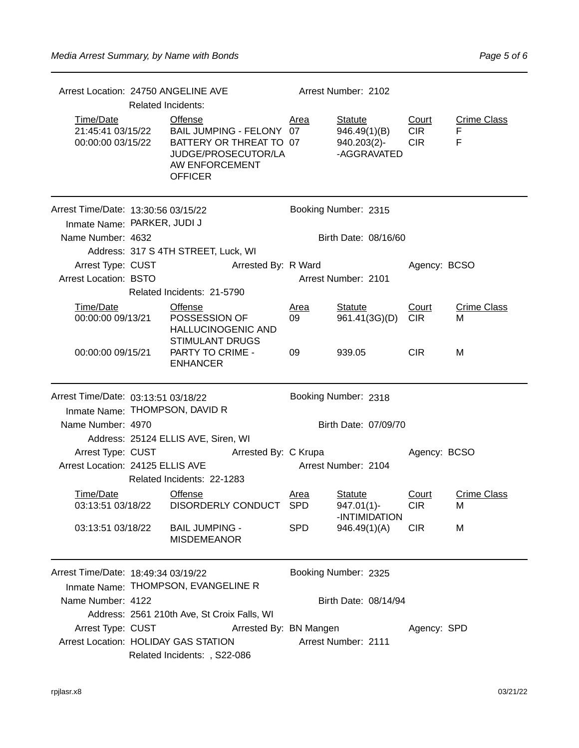| Arrest Location: 24750 ANGELINE AVE                                | <b>Related Incidents:</b> |                                                                                                                           |                      | Arrest Number: 2102    |                                                              |                                   |                              |  |
|--------------------------------------------------------------------|---------------------------|---------------------------------------------------------------------------------------------------------------------------|----------------------|------------------------|--------------------------------------------------------------|-----------------------------------|------------------------------|--|
| Time/Date<br>21:45:41 03/15/22<br>00:00:00 03/15/22                |                           | Offense<br>BAIL JUMPING - FELONY 07<br>BATTERY OR THREAT TO 07<br>JUDGE/PROSECUTOR/LA<br>AW ENFORCEMENT<br><b>OFFICER</b> |                      | Area                   | <b>Statute</b><br>946.49(1)(B)<br>940.203(2)-<br>-AGGRAVATED | Court<br><b>CIR</b><br><b>CIR</b> | <b>Crime Class</b><br>F<br>F |  |
| Arrest Time/Date: 13:30:56 03/15/22<br>Inmate Name: PARKER, JUDI J |                           |                                                                                                                           |                      |                        | Booking Number: 2315                                         |                                   |                              |  |
| Name Number: 4632                                                  |                           |                                                                                                                           |                      |                        | Birth Date: 08/16/60                                         |                                   |                              |  |
|                                                                    |                           | Address: 317 S 4TH STREET, Luck, WI                                                                                       |                      |                        |                                                              |                                   |                              |  |
| Arrest Type: CUST                                                  |                           |                                                                                                                           | Arrested By: R Ward  |                        |                                                              | Agency: BCSO                      |                              |  |
| <b>Arrest Location: BSTO</b>                                       |                           |                                                                                                                           |                      |                        | Arrest Number: 2101                                          |                                   |                              |  |
|                                                                    |                           | Related Incidents: 21-5790                                                                                                |                      |                        |                                                              |                                   |                              |  |
| Time/Date<br>00:00:00 09/13/21                                     |                           | <b>Offense</b><br>POSSESSION OF<br><b>HALLUCINOGENIC AND</b><br><b>STIMULANT DRUGS</b>                                    |                      | Area<br>09             | <b>Statute</b><br>961.41(3G)(D)                              | Court<br><b>CIR</b>               | <b>Crime Class</b><br>м      |  |
| 00:00:00 09/15/21                                                  |                           | PARTY TO CRIME -<br><b>ENHANCER</b>                                                                                       |                      | 09                     | 939.05                                                       | <b>CIR</b>                        | М                            |  |
| Arrest Time/Date: 03:13:51 03/18/22                                |                           |                                                                                                                           |                      |                        | Booking Number: 2318                                         |                                   |                              |  |
| Inmate Name: THOMPSON, DAVID R                                     |                           |                                                                                                                           |                      |                        |                                                              |                                   |                              |  |
| Name Number: 4970                                                  |                           |                                                                                                                           |                      |                        | Birth Date: 07/09/70                                         |                                   |                              |  |
|                                                                    |                           | Address: 25124 ELLIS AVE, Siren, WI                                                                                       |                      |                        |                                                              |                                   |                              |  |
| Arrest Type: CUST                                                  |                           |                                                                                                                           | Arrested By: C Krupa |                        |                                                              | Agency: BCSO                      |                              |  |
| Arrest Location: 24125 ELLIS AVE                                   |                           |                                                                                                                           |                      |                        | Arrest Number: 2104                                          |                                   |                              |  |
|                                                                    |                           | Related Incidents: 22-1283                                                                                                |                      |                        |                                                              |                                   |                              |  |
| Time/Date                                                          |                           | <b>Offense</b>                                                                                                            |                      | <b>Area</b>            | <b>Statute</b>                                               | Court                             | <b>Crime Class</b>           |  |
|                                                                    |                           |                                                                                                                           |                      |                        | $947.01(1)$ -                                                | <b>CIR</b>                        | м                            |  |
| 03:13:51 03/18/22                                                  |                           | <b>BAIL JUMPING -</b><br><b>MISDEMEANOR</b>                                                                               |                      | <b>SPD</b>             | -INTIMIDATION<br>946.49(1)(A)                                | <b>CIR</b>                        | M                            |  |
| Arrest Time/Date: 18:49:34 03/19/22                                |                           | Inmate Name: THOMPSON, EVANGELINE R                                                                                       |                      |                        | Booking Number: 2325                                         |                                   |                              |  |
| Name Number: 4122                                                  |                           |                                                                                                                           |                      |                        | Birth Date: 08/14/94                                         |                                   |                              |  |
|                                                                    |                           | Address: 2561 210th Ave, St Croix Falls, WI                                                                               |                      |                        |                                                              |                                   |                              |  |
| Arrest Type: CUST                                                  |                           |                                                                                                                           |                      | Arrested By: BN Mangen |                                                              | Agency: SPD                       |                              |  |